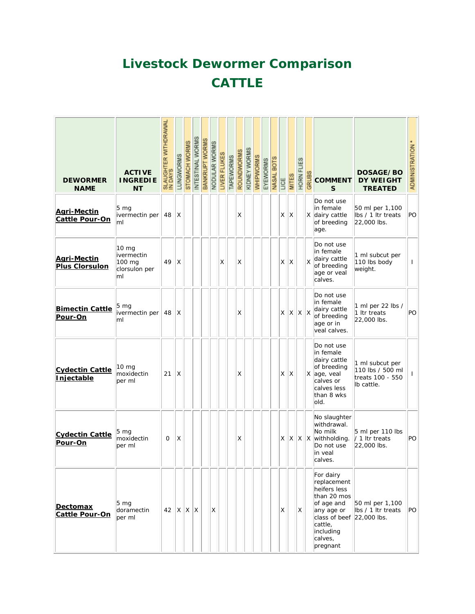# **Livestock Dewormer Comparison CATTLE**

| <b>DEWORMER</b><br><b>NAME</b>              | <b>ACTIVE</b><br><b>INGREDIE</b><br><b>NT</b>                   | SLAUGHTER WITHDRAWAL<br>IN DAYS | LUNGWORMS | STOMACH WORMS | INTESTINAL WORMS | BANKRUPT WORMS | NODULAR WORMS | LIVER FLUKES | TAPEWORMS | ROUNDWORMS | KIDNEY WORMS | WHIPWORMS | EYEWORMS | NASAL BOTS | <b>AD</b> | <b>MITES</b> | HORN FLIES | GRUBS | <b>COMMENT</b><br>S                                                                                                                                                | DOSAGE/BO<br><b>DY WEIGHT</b><br><b>TREATED</b>                       | ADMINISTRATION * |
|---------------------------------------------|-----------------------------------------------------------------|---------------------------------|-----------|---------------|------------------|----------------|---------------|--------------|-----------|------------|--------------|-----------|----------|------------|-----------|--------------|------------|-------|--------------------------------------------------------------------------------------------------------------------------------------------------------------------|-----------------------------------------------------------------------|------------------|
| <b>Agri-Mectin</b><br><b>Cattle Pour-On</b> | 5 mg<br>ivermectin per<br>ml                                    | 48                              | X         |               |                  |                |               |              |           | X          |              |           |          |            | X.        | X            |            |       | Do not use<br>in female<br>X dairy cattle<br>of breeding<br>age.                                                                                                   | 50 ml per 1,100<br>Ibs / 1 Itr treats<br>22,000 lbs.                  | PO               |
| <b>Agri-Mectin</b><br><b>Plus Clorsulon</b> | 10 <sub>mg</sub><br>ivermectin<br>100 mg<br>clorsulon per<br>ml | 49                              | X         |               |                  |                |               | X            |           | X          |              |           |          |            | X.        | ΙX           |            | X     | Do not use<br>in female<br>dairy cattle<br>of breeding<br>age or veal<br>calves.                                                                                   | 1 ml subcut per<br>110 lbs body<br>weight.                            | $\mathbf{I}$     |
| <b>Bimectin Cattle</b><br>Pour-On           | 5 mg<br>ivermectin per<br>ml                                    | 48                              | Χ         |               |                  |                |               |              |           | X          |              |           |          |            | X         | X            | x x        |       | Do not use<br>in female<br>dairy cattle<br>of breeding<br>age or in<br>veal calves.                                                                                | 1 ml per 22 lbs /<br>1 Itr treats<br>22,000 lbs.                      | PO               |
| <b>Cydectin Cattle</b><br><b>Injectable</b> | $10 \text{ mg}$<br>moxidectin<br>per ml                         | 21                              | X         |               |                  |                |               |              |           | X          |              |           |          |            | X.        | ΙX           |            |       | Do not use<br>in female<br>dairy cattle<br>of breeding<br>X age, veal<br>calves or<br>calves less<br>than 8 wks<br>old.                                            | 1 ml subcut per<br>110 lbs / 500 ml<br>treats 100 - 550<br>lb cattle. | $\mathbf{I}$     |
| <b>Cydectin Cattle</b><br>Pour-On           | 5 mg<br>moxidectin<br>per ml                                    | $\Omega$                        | X         |               |                  |                |               |              |           | X          |              |           |          |            | X.        | X            |            |       | No slaughter<br>withdrawal.<br>No milk<br>$ X $ $X$ with holding.<br>Do not use<br>in veal<br>calves.                                                              | 5 ml per 110 lbs<br>/ 1 Itr treats<br>22,000 lbs.                     | PO               |
| Dectomax<br><b>Cattle Pour-On</b>           | 5 <sub>mg</sub><br>doramectin<br>per ml                         | $42$ $\mid$ X $\mid$ X $\mid$ X |           |               |                  |                | X             |              |           |            |              |           |          |            | X         |              | X          |       | For dairy<br>replacement<br>heifers less<br>than 20 mos<br>of age and<br>any age or<br>class of beef $ 22,000$ lbs.<br>cattle,<br>including<br>calves,<br>pregnant | 50 ml per 1,100<br>lbs / 1 ltr treats                                 | PO               |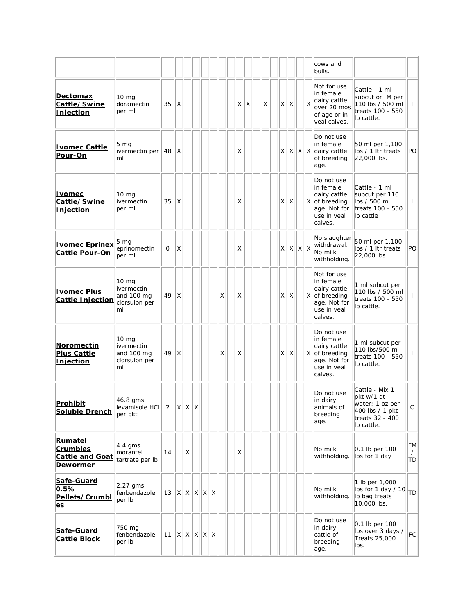|                                                                         |                                                                     |             |     |     |                 |   |          |   |          |              |     |                 |    | cows and<br>bulls.                                                                                  |                                                                                                     |                      |
|-------------------------------------------------------------------------|---------------------------------------------------------------------|-------------|-----|-----|-----------------|---|----------|---|----------|--------------|-----|-----------------|----|-----------------------------------------------------------------------------------------------------|-----------------------------------------------------------------------------------------------------|----------------------|
| <u>Dectomax</u><br>Cattle/Swine<br><b>Injection</b>                     | $10 \text{ mg}$<br>doramectin<br>per ml                             | 35          | X   |     |                 |   | $\times$ | X | $\times$ | $\times$     | ΙX  |                 | X  | Not for use<br>in female<br>dairy cattle<br>over 20 mos<br>of age or in<br>veal calves.             | Cattle - 1 ml<br>subcut or IM per<br>110 lbs / 500 ml<br>treats 100 - 550<br>Ib cattle.             | $\mathbf{I}$         |
| <b>Ivomec Cattle</b><br>Pour-On                                         | $5 \text{ mg}$<br>ivermectin per<br>ml                              | 48          | X   |     |                 |   | Χ        |   |          | X.           |     |                 |    | Do not use<br>in female<br>$ X X X $ dairy cattle<br>of breeding<br>age.                            | 50 ml per 1,100<br>lbs / 1 ltr treats<br>22,000 lbs.                                                | PO                   |
| <u>I vomec</u><br>Cattle/Swine<br>Injection                             | 10 <sub>mg</sub><br>ivermectin<br>per ml                            | 35          | X   |     |                 |   | Χ        |   |          | X.           | ΙX. |                 |    | Do not use<br>in female<br>dairy cattle<br>X of breeding<br>age. Not for<br>use in veal<br>calves.  | Cattle - 1 ml<br>subcut per 110<br>lbs / 500 ml<br>treats 100 - 550<br>lb cattle                    | $\mathbf{I}$         |
| <b>Ivomec Eprinex</b><br><b>Cattle Pour-On</b>                          | 5 mg<br>eprinomectin<br>per ml                                      | $\mathbf 0$ | X   |     |                 |   | X        |   |          | $\mathsf{X}$ |     | $x \mid x \mid$ | ΙX | No slaughter<br>withdrawal.<br>No milk<br>withholding.                                              | 50 ml per 1,100<br>lbs / 1 ltr treats<br>22,000 lbs.                                                | PO                   |
| <b>I</b> vomec Plus<br>Cattle Injection                                 | 10 <sub>mg</sub><br>ivermectin<br>and 100 mg<br>clorsulon per<br>ml | 49          | X   |     |                 | X | X        |   |          | X.           | X   |                 |    | Not for use<br>in female<br>dairy cattle<br>X of breeding<br>age. Not for<br>use in veal<br>calves. | 1 ml subcut per<br>110 lbs / 500 ml<br>treats 100 - 550<br>Ib cattle.                               | $\mathbf{I}$         |
| Noromectin<br><b>Plus Cattle</b><br>Injection                           | $10 \text{ mg}$<br>ivermectin<br>and 100 mg<br>clorsulon per<br>ml  | 49          | ΙX  |     |                 | X | X        |   |          | X.           | X   |                 |    | Do not use<br>in female<br>dairy cattle<br>X of breeding<br>age. Not for<br>luse in veal<br>calves. | 1 ml subcut per<br>110 lbs/500 ml<br>treats 100 - 550<br>lb cattle.                                 | $\mathbf{I}$         |
| Prohibit<br><b>Soluble Drench</b>                                       | 46.8 gms<br>$ $ levamisole HCI   2   X   X   X<br>per pkt           |             |     |     |                 |   |          |   |          |              |     |                 |    | Do not use<br>in dairy<br>animals of<br>breeding<br>age.                                            | Cattle - Mix 1<br>pkt w/1 qt<br>water; 1 oz per<br>400 lbs / 1 pkt<br>treats 32 - 400<br>Ib cattle. | O                    |
| Rumatel<br><b>Crumbles</b><br><b>Cattle and Goat</b><br><b>Dewormer</b> | 4.4 gms<br>morantel<br>tartrate per Ib                              | 14          |     | X   |                 |   | X        |   |          |              |     |                 |    | No milk<br>withholding.                                                                             | 0.1 lb per 100<br>Ibs for 1 day                                                                     | FM<br>$\prime$<br>TD |
| Safe-Guard<br>0.5%<br>Pellets/Crumbl<br><u>es</u>                       | $2.27$ gms<br>fenbendazole<br>per Ib                                | 13          | ΙX. | X X | X X             |   |          |   |          |              |     |                 |    | No milk<br>withholding.                                                                             | 1 lb per 1,000<br>lbs for 1 day / 10<br>Ib bag treats<br>10,000 lbs.                                | TD                   |
| Safe-Guard<br><b>Cattle Block</b>                                       | 750 mg<br>fenbendazole<br>per Ib                                    | 11          |     |     | $X$ $X$ $X$ $X$ |   |          |   |          |              |     |                 |    | Do not use<br>in dairy<br>cattle of<br>breeding<br>age.                                             | 0.1 lb per 100<br>lbs over 3 days /<br>Treats 25,000<br>lbs.                                        | FC                   |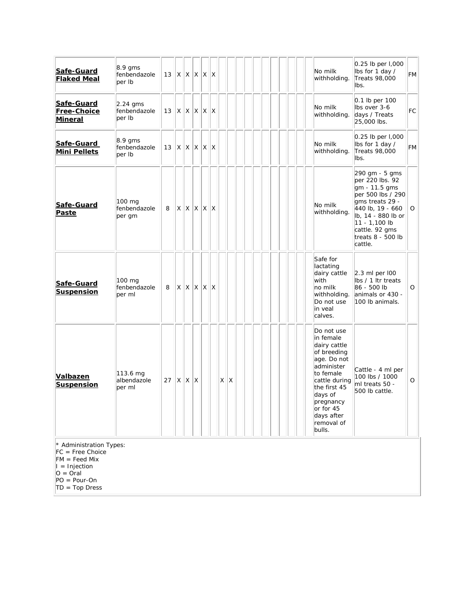| Safe-Guard<br><b>Flaked Meal</b>                                                                                                                 | $8.9$ gms<br>fenbendazole<br>per Ib  | 13 | ΙX.          | $X \mid X$        | X                 | X |   |   |  |  |  |  | No milk<br>withholding.                                                                                                                                                                                      | 0.25 lb per 1,000<br>lbs for 1 day /<br>Treats 98,000<br>lbs.                                                                                                                                           | FM |
|--------------------------------------------------------------------------------------------------------------------------------------------------|--------------------------------------|----|--------------|-------------------|-------------------|---|---|---|--|--|--|--|--------------------------------------------------------------------------------------------------------------------------------------------------------------------------------------------------------------|---------------------------------------------------------------------------------------------------------------------------------------------------------------------------------------------------------|----|
| Safe-Guard<br>Free-Choice<br><b>Mineral</b>                                                                                                      | $2.24$ ams<br>fenbendazole<br>per Ib | 13 | IX.          | $x \mid x$        | $\mathsf{X}$      | X |   |   |  |  |  |  | No milk<br>withholding.                                                                                                                                                                                      | $0.1$ lb per 100<br>Ibs over 3-6<br>days / Treats<br>25,000 lbs.                                                                                                                                        | FC |
| Safe-Guard<br><b>Mini Pellets</b>                                                                                                                | $8.9$ gms<br>fenbendazole<br>per Ib  | 13 | ΙXΙ          | $x \mid x \mid x$ |                   | X |   |   |  |  |  |  | No milk<br>withholding.                                                                                                                                                                                      | 0.25 lb per I,000<br>lbs for 1 day /<br>Treats 98,000<br>lbs.                                                                                                                                           | FM |
| Safe-Guard<br>Paste                                                                                                                              | 100 mg<br>fenbendazole<br>per gm     | 8  | X            |                   | $x \mid x \mid x$ | X |   |   |  |  |  |  | No milk<br>withholding.                                                                                                                                                                                      | 290 gm - 5 gms<br>per 220 lbs. 92<br>gm - 11.5 gms<br>per 500 lbs / 290<br>gms treats 29 -<br>440 lb, 19 - 660<br>lb, 14 - 880 lb or<br>11 - 1,100 lb<br>cattle. 92 gms<br>treats 8 - 500 lb<br>cattle. | O  |
| Safe-Guard<br><b>Suspension</b>                                                                                                                  | 100 mg<br>fenbendazole<br>per ml     | 8  | $\mathsf{X}$ |                   | $X$ $X$ $X$       | X |   |   |  |  |  |  | Safe for<br>lactating<br>dairy cattle<br>with<br>no milk<br>withholding.<br>Do not use<br>in veal<br>calves.                                                                                                 | $2.3$ ml per $100$<br>lbs / 1 ltr treats<br>86 - 500 lb<br>animals or 430 -<br>100 lb animals.                                                                                                          | O  |
| <b>Valbazen</b><br><b>Suspension</b>                                                                                                             | 113.6 mg<br>albendazole<br>per ml    | 27 | ΙX.          | $x \mid x$        |                   |   | X | X |  |  |  |  | Do not use<br>in female<br>dairy cattle<br>of breeding<br>age. Do not<br>administer<br>to female<br>cattle during<br>the first 45<br>days of<br>pregnancy<br>or for 45<br>days after<br>removal of<br>bulls. | Cattle - 4 ml per<br>100 lbs / 1000<br>ml treats 50 -<br>500 lb cattle.                                                                                                                                 | O  |
| * Administration Types:<br>$FC = Free Choice$<br>$FM = Feed Mix$<br>$\ I\ $ = Injection<br>$O = Oral$<br>$PO = Pour-On$<br>$T_{\alpha\alpha}$ Dr |                                      |    |              |                   |                   |   |   |   |  |  |  |  |                                                                                                                                                                                                              |                                                                                                                                                                                                         |    |

TD = Top Dress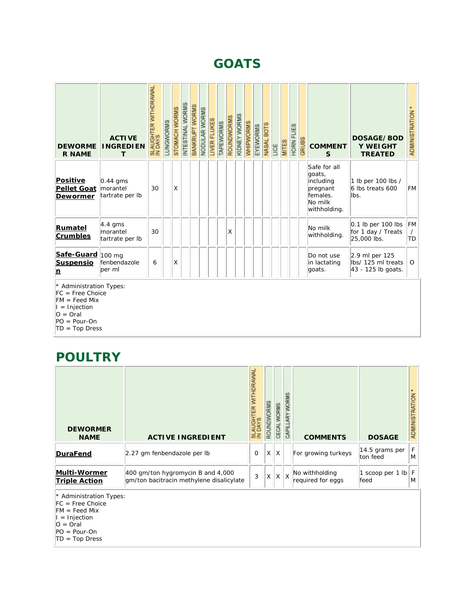## **GOATS**

| <b>DEWORME</b><br><b>R NAME</b>                                                                                                       | <b>ACTIVE</b><br><b>INGREDIEN</b><br>T    | SLAUGHTER WITHDRAWAL<br>IN DAYS | LUNGWORMS | STOMACH WORMS | INTESTINAL WORMS | BANKRUPT WORMS | NODULAR WORMS | LIVER FLUKES | TAPEWORMS | ROUNDWORMS | KIDNEY WORMS | WHIPWORMS | EYEWORMS | NASAL BOTS | UCE | <b>MITES</b> | FLIES<br>HORN | GRUBS | <b>COMMENT</b><br>S                                                                    | DOSAGE/BOD<br>Y WEIGHT<br><b>TREATED</b>                   | <b>ADMINISTRATION</b>       |
|---------------------------------------------------------------------------------------------------------------------------------------|-------------------------------------------|---------------------------------|-----------|---------------|------------------|----------------|---------------|--------------|-----------|------------|--------------|-----------|----------|------------|-----|--------------|---------------|-------|----------------------------------------------------------------------------------------|------------------------------------------------------------|-----------------------------|
| <b>Positive</b><br><b>Pellet Goat</b><br><b>Dewormer</b>                                                                              | $0.44$ gms<br>morantel<br>tartrate per Ib | 30                              |           | X             |                  |                |               |              |           |            |              |           |          |            |     |              |               |       | Safe for all<br>goats,<br>including<br>pregnant<br>females.<br>No milk<br>withholding. | 1 lb per 100 lbs /<br>6 lbs treats 600<br>lbs.             | <b>FM</b>                   |
| <b>Rumatel</b><br>Crumbles                                                                                                            | $4.4$ gms<br>morantel<br>tartrate per Ib  | 30                              |           |               |                  |                |               |              |           | Χ          |              |           |          |            |     |              |               |       | No milk<br>withholding.                                                                | $0.1$ lb per 100 lbs<br>for 1 day / Treats<br>25,000 lbs.  | <b>FM</b><br>$\prime$<br>TD |
| Safe-Guard 100 mg<br><b>Suspensio</b><br>n                                                                                            | fenbendazole<br>per ml                    | 6                               |           | X             |                  |                |               |              |           |            |              |           |          |            |     |              |               |       | Do not use<br>in lactating<br>goats.                                                   | 2.9 ml per 125<br>lbs/ 125 ml treats<br>43 - 125 lb goats. | $\circ$                     |
| * Administration Types:<br>$FC = Free Choice$<br>$FM = Feed Mix$<br>$=$ Injection<br>$O = Oral$<br>$PO = Pour-On$<br>$TD = Top Dress$ |                                           |                                 |           |               |                  |                |               |              |           |            |              |           |          |            |     |              |               |       |                                                                                        |                                                            |                             |

# **POULTRY**

| <b>DEWORMER</b><br><b>NAME</b>              | <b>ACTIVE INGREDIENT</b>                                                      | <b>IDRAWAI</b><br>ţ | ORMS<br><b>ROUN</b> | ORMS<br>CEC)            | WOR<br>忈 | <b>COMMENTS</b>                     | <b>DOSAGE</b>              | RATION<br>ADMINIST |
|---------------------------------------------|-------------------------------------------------------------------------------|---------------------|---------------------|-------------------------|----------|-------------------------------------|----------------------------|--------------------|
| DuraFend                                    | 2.27 gm fenbendazole per lb                                                   | $\mathbf{O}$        | X                   | $\mathsf{I} \mathsf{X}$ |          | For growing turkeys                 | 14.5 grams per<br>ton feed | F<br>M             |
| <b>Multi-Wormer</b><br><b>Triple Action</b> | 400 gm/ton hygromycin B and 4,000<br>gm/ton bacitracin methylene disalicylate | 3                   | X                   | X                       | $\times$ | No withholding<br>required for eggs | scoop per 1 lb<br>feed     | F<br>M             |

\* Administration Types:

FC = Free Choice

 $F = Feed Mix$ 

I = Injection

O = Oral

PO = Pour-On

TD = Top Dress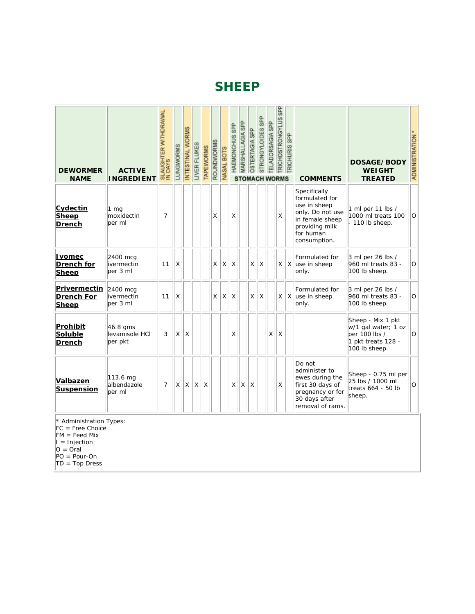## **SHEEP**

| <b>DEWORMER</b><br><b>NAME</b>                                                                                                          | <b>ACTIVE</b><br><b>INGREDIENT</b>     | SLAUGHTER WITHDRAWAL<br>IN DAYS | LUNGWORMS   | INTESTINAL WORMS | LIVER FLUKES | <b>TAPEWORMS</b> | ROUNDWORMS | NASAL BOTS | SP <sub>P</sub><br>HAEMONCHUS<br>ST | MARSHALLAGIA SPP | OSTERTAGIA SPP | STRONGYLOIDES SPP<br><b>OMACH WORMS</b> | <b>TELADORSAGIA SPP</b> | TRICHOSTRONGYLUS SPP | <b>TRICHURIS SPP</b> | <b>COMMENTS</b>                                                                                                                      | DOSAGE/BODY<br><b>WEIGHT</b><br><b>TREATED</b>                                                   | <b>ADMINISTRATION</b> |
|-----------------------------------------------------------------------------------------------------------------------------------------|----------------------------------------|---------------------------------|-------------|------------------|--------------|------------------|------------|------------|-------------------------------------|------------------|----------------|-----------------------------------------|-------------------------|----------------------|----------------------|--------------------------------------------------------------------------------------------------------------------------------------|--------------------------------------------------------------------------------------------------|-----------------------|
| Cydectin<br><b>Sheep</b><br><b>Drench</b>                                                                                               | $1 \text{ mg}$<br>moxidectin<br>ber ml | $\overline{7}$                  |             |                  |              |                  | X          |            | X                                   |                  |                |                                         |                         | X                    |                      | Specifically<br>formulated for<br>use in sheep<br>only. Do not use<br>in female sheep<br>providing milk<br>for human<br>consumption. | 1 ml per 11 lbs /<br>1000 ml treats 100<br>- 110 lb sheep.                                       | O                     |
| <u>I vomec</u><br>Drench for<br>Sheep                                                                                                   | 2400 mcg<br>ivermectin<br>per 3 ml     | 11                              | X           |                  |              |                  | X          | Χ          | Χ                                   |                  | X              | X                                       |                         | $\times$             |                      | Formulated for<br>X use in sheep<br>only.                                                                                            | 3 ml per 26 lbs /<br>960 ml treats 83 -<br>100 lb sheep.                                         | O                     |
| Privermectin 2400 mcg<br><b>Drench For</b><br><b>Sheep</b>                                                                              | ivermectin<br>per 3 ml                 | 11                              | $\mathsf X$ |                  |              |                  | Χ          | X          | Χ                                   |                  | X              | X                                       |                         | $\times$             | X                    | Formulated for<br>use in sheep<br>only.                                                                                              | 3 ml per 26 lbs /<br>960 ml treats 83 -<br>100 lb sheep.                                         | O                     |
| <b>Prohibit</b><br>Soluble<br><b>Drench</b>                                                                                             | 46.8 gms<br>levamisole HCI<br>per pkt  | 3                               | X           | X                |              |                  |            |            | X                                   |                  |                |                                         | X                       | Χ                    |                      |                                                                                                                                      | Sheep - Mix 1 pkt<br>w/1 gal water; 1 oz<br>per 100 lbs /<br>1 pkt treats 128 -<br>100 lb sheep. | O                     |
| Valbazen<br><b>Suspension</b>                                                                                                           | 113.6 mg<br>albendazole<br>per ml      | $\overline{7}$                  | X           | X                | X            | Χ                |            |            | X                                   | X                | X              |                                         |                         | X                    |                      | Do not<br>administer to<br>ewes during the<br>first 30 days of<br>pregnancy or for<br>30 days after<br>removal of rams.              | Sheep - 0.75 ml per<br>25 lbs / 1000 ml<br>treats 664 - 50 lb<br>sheep.                          | O                     |
| * Administration Types:<br>$FC = Free Choice$<br>$FM = Feed Mix$<br>$I = Injection$<br>$O = Oral$<br>$PO = Pour-On$<br>$TD = Top Dress$ |                                        |                                 |             |                  |              |                  |            |            |                                     |                  |                |                                         |                         |                      |                      |                                                                                                                                      |                                                                                                  |                       |